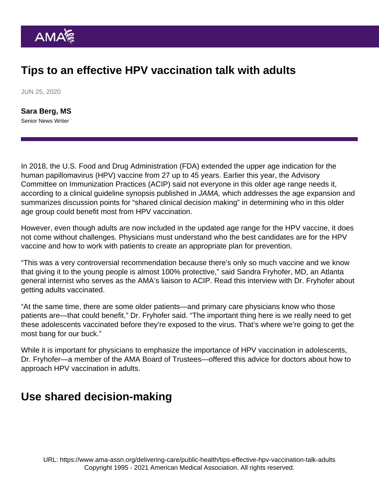## Tips to an effective HPV vaccination talk with adults

JUN 25, 2020

[Sara Berg, MS](https://www.ama-assn.org/news-leadership-viewpoints/authors-news-leadership-viewpoints/sara-berg-ms) Senior News Writer

In 2018, the U.S. Food and Drug Administration (FDA) extended the upper age indication for the human papillomavirus (HPV) vaccine from 27 up to 45 years. Earlier this year, the Advisory Committee on Immunization Practices (ACIP) said not everyone in this older age range needs it, according to a [clinical guideline synopsis](https://jamanetwork.com/journals/jama/article-abstract/2758932) published in JAMA, which addresses the age expansion and summarizes discussion points for "shared clinical decision making" in determining who in this older age group could benefit most from HPV vaccination.

However, even though adults are now included in the updated age range for the HPV vaccine, it does not come without challenges. Physicians must understand who the best candidates are for the HPV vaccine and how to work with patients to create an appropriate plan for prevention.

"This was a very controversial recommendation because there's only so much vaccine and we know that giving it to the young people is almost 100% protective," said [Sandra Fryhofer, MD,](https://www.ama-assn.org/about/board-trustees/sandra-adamson-fryhofer-md) an Atlanta general internist who serves as the AMA's liaison to ACIP. Read this interview with Dr. Fryhofer about [getting adults vaccinated](https://www.ama-assn.org/delivering-care/public-health/simpler-approach-hard-task-getting-adults-vaccinated).

"At the same time, there are some older patients—and primary care physicians know who those patients are—that could benefit," Dr. Fryhofer said. "The important thing here is we really need to get these adolescents vaccinated before they're exposed to the virus. That's where we're going to get the most bang for our buck."

While it is important for physicians to emphasize the importance of HPV vaccination in adolescents, Dr. Fryhofer—a member of the [AMA Board of Trustees](https://www.ama-assn.org/about/board-trustees/board-trustees-members)—offered this advice for doctors about how to approach HPV vaccination in adults.

## Use shared decision-making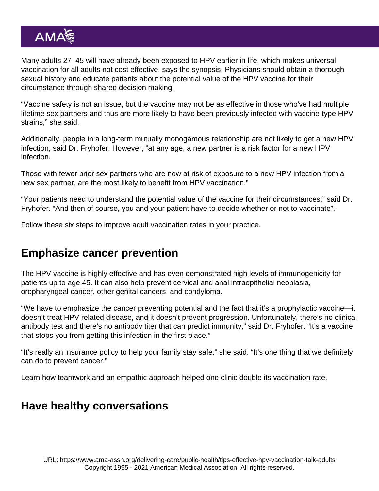Many adults 27–45 will have already been exposed to HPV earlier in life, which makes universal vaccination for all adults not cost effective, says the synopsis. Physicians should obtain a thorough sexual history and educate patients about the potential value of the HPV vaccine for their circumstance through [shared decision making](https://www.cdc.gov/vaccines/acip/acip-scdm-faqs.html).

"Vaccine safety is not an issue, but the vaccine may not be as effective in those who've had multiple lifetime sex partners and thus are more likely to have been previously infected with vaccine-type HPV strains," she said.

Additionally, people in a long-term mutually monogamous relationship are not likely to get a new HPV infection, said Dr. Fryhofer. However, "at any age, a new partner is a risk factor for a new HPV infection.

Those with fewer prior sex partners who are now at risk of exposure to a new HPV infection from a new sex partner, are the most likely to benefit from HPV vaccination."

"Your patients need to understand the potential value of the vaccine for their circumstances," said Dr. Fryhofer. "And then of course, you and your patient have to decide whether or not to vaccinate".

Follow these [six steps to improve adult vaccination rates in your practice](https://www.ama-assn.org/delivering-care/public-health/6-steps-practices-improve-adult-vaccination-rates).

## Emphasize cancer prevention

The HPV vaccine is highly effective and has even demonstrated high levels of immunogenicity for patients up to age 45. It can also help prevent cervical and anal intraepithelial neoplasia, oropharyngeal cancer, other genital cancers, and condyloma.

"We have to emphasize the cancer preventing potential and the fact that it's a prophylactic vaccine—it doesn't treat HPV related disease, and it doesn't prevent progression. Unfortunately, there's no clinical antibody test and there's no antibody titer that can predict immunity," said Dr. Fryhofer. "It's a vaccine that stops you from getting this infection in the first place."

"It's really an insurance policy to help your family stay safe," she said. "It's one thing that we definitely can do to prevent cancer."

Learn how [teamwork and an empathic approach helped one clinic double its vaccination rate.](https://www.ama-assn.org/delivering-care/public-health/teamwork-empathic-approach-help-clinic-double-vaccination-rate)

## Have healthy conversations